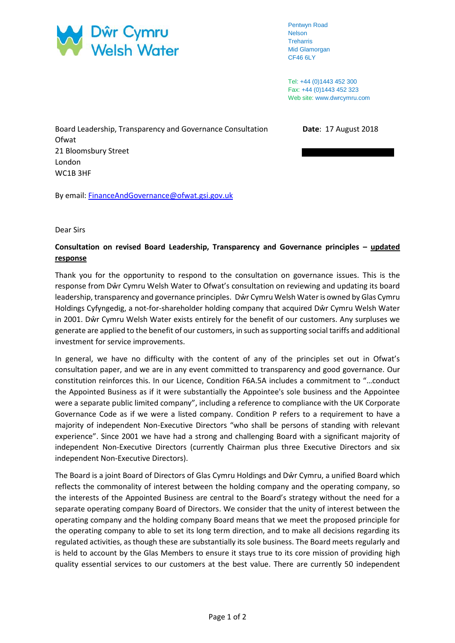

Pentwyn Road Nelson Treharris Mid Glamorgan CF46 6LY

Tel: +44 (0)1443 452 300 Fax: +44 (0)1443 452 323 Web site: www.dwrcymru.com

Board Leadership, Transparency and Governance Consultation **Date**: 17 August 2018 **Ofwat** 21 Bloomsbury Street London WC1B 3HF

By email: [FinanceAndGovernance@ofwat.gsi.gov.uk](mailto:FinanceAndGovernance@ofwat.gsi.gov.uk)

## Dear Sirs

## **Consultation on revised Board Leadership, Transparency and Governance principles – updated response**

Thank you for the opportunity to respond to the consultation on governance issues. This is the response from Dŵr Cymru Welsh Water to Ofwat's consultation on reviewing and updating its board leadership, transparency and governance principles. Dŵr Cymru Welsh Water is owned by Glas Cymru Holdings Cyfyngedig, a not-for-shareholder holding company that acquired Dŵr Cymru Welsh Water in 2001. Dŵr Cymru Welsh Water exists entirely for the benefit of our customers. Any surpluses we generate are applied to the benefit of our customers, in such as supporting social tariffs and additional investment for service improvements.

In general, we have no difficulty with the content of any of the principles set out in Ofwat's consultation paper, and we are in any event committed to transparency and good governance. Our constitution reinforces this. In our Licence, Condition F6A.5A includes a commitment to "…conduct the Appointed Business as if it were substantially the Appointee's sole business and the Appointee were a separate public limited company", including a reference to compliance with the UK Corporate Governance Code as if we were a listed company. Condition P refers to a requirement to have a majority of independent Non-Executive Directors "who shall be persons of standing with relevant experience". Since 2001 we have had a strong and challenging Board with a significant majority of independent Non-Executive Directors (currently Chairman plus three Executive Directors and six independent Non-Executive Directors).

The Board is a joint Board of Directors of Glas Cymru Holdings and Dŵr Cymru, a unified Board which reflects the commonality of interest between the holding company and the operating company, so the interests of the Appointed Business are central to the Board's strategy without the need for a separate operating company Board of Directors. We consider that the unity of interest between the operating company and the holding company Board means that we meet the proposed principle for the operating company to able to set its long term direction, and to make all decisions regarding its regulated activities, as though these are substantially its sole business. The Board meets regularly and is held to account by the Glas Members to ensure it stays true to its core mission of providing high quality essential services to our customers at the best value. There are currently 50 independent